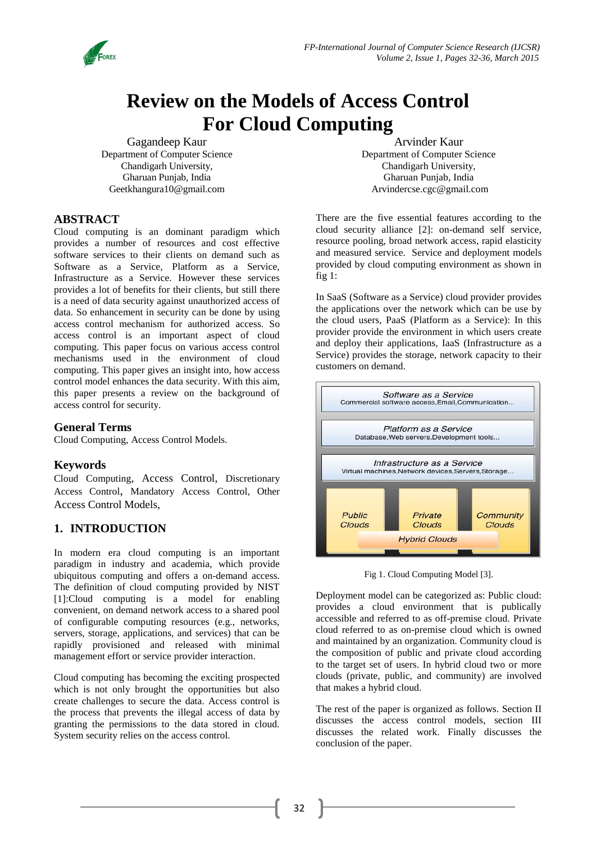

# **Review on the Models of Access Control For Cloud Computing**

Gagandeep Kaur Department of Computer Science Chandigarh University, Gharuan Punjab, India [Geetkhangura10@gmail.com](mailto:Geetkhangura10@gmail.com)

Arvinder Kaur Department of Computer Science Chandigarh University, Gharuan Punjab, India Arvindercse.cgc@gmail.com

## **ABSTRACT**

Cloud computing is an dominant paradigm which provides a number of resources and cost effective software services to their clients on demand such as Software as a Service, Platform as a Service, Infrastructure as a Service. However these services provides a lot of benefits for their clients, but still there is a need of data security against unauthorized access of data. So enhancement in security can be done by using access control mechanism for authorized access. So access control is an important aspect of cloud computing. This paper focus on various access control mechanisms used in the environment of cloud computing. This paper gives an insight into, how access control model enhances the data security. With this aim, this paper presents a review on the background of access control for security.

## **General Terms**

Cloud Computing, Access Control Models.

## **Keywords**

Cloud Computing, Access Control, Discretionary Access Control, Mandatory Access Control, Other Access Control Models,

## **1. INTRODUCTION**

In modern era cloud computing is an important paradigm in industry and academia, which provide ubiquitous computing and offers a on-demand access. The definition of cloud computing provided by NIST [1]:Cloud computing is a model for enabling convenient, on demand network access to a shared pool of configurable computing resources (e.g., networks, servers, storage, applications, and services) that can be rapidly provisioned and released with minimal management effort or service provider interaction.

Cloud computing has becoming the exciting prospected which is not only brought the opportunities but also create challenges to secure the data. Access control is the process that prevents the illegal access of data by granting the permissions to the data stored in cloud. System security relies on the access control.

There are the five essential features according to the cloud security alliance [2]: on-demand self service, resource pooling, broad network access, rapid elasticity and measured service. Service and deployment models provided by cloud computing environment as shown in fig 1:

In SaaS (Software as a Service) cloud provider provides the applications over the network which can be use by the cloud users, PaaS (Platform as a Service): In this provider provide the environment in which users create and deploy their applications, IaaS (Infrastructure as a Service) provides the storage, network capacity to their customers on demand.



Fig 1. Cloud Computing Model [3].

Deployment model can be categorized as: Public cloud: provides a cloud environment that is publically accessible and referred to as off-premise cloud. Private cloud referred to as on-premise cloud which is owned and maintained by an organization. Community cloud is the composition of public and private cloud according to the target set of users. In hybrid cloud two or more clouds (private, public, and community) are involved that makes a hybrid cloud.

The rest of the paper is organized as follows. Section II discusses the access control models, section III discusses the related work. Finally discusses the conclusion of the paper.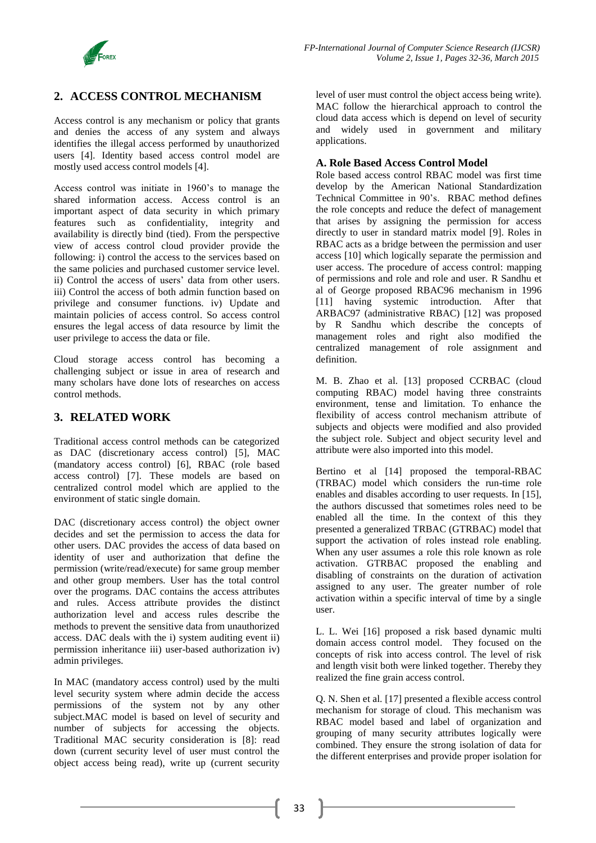

# **2. ACCESS CONTROL MECHANISM**

Access control is any mechanism or policy that grants and denies the access of any system and always identifies the illegal access performed by unauthorized users [4]. Identity based access control model are mostly used access control models [4].

Access control was initiate in 1960's to manage the shared information access. Access control is an important aspect of data security in which primary features such as confidentiality, integrity and availability is directly bind (tied). From the perspective view of access control cloud provider provide the following: i) control the access to the services based on the same policies and purchased customer service level. ii) Control the access of users' data from other users. iii) Control the access of both admin function based on privilege and consumer functions. iv) Update and maintain policies of access control. So access control ensures the legal access of data resource by limit the user privilege to access the data or file.

Cloud storage access control has becoming a challenging subject or issue in area of research and many scholars have done lots of researches on access control methods.

## **3. RELATED WORK**

Traditional access control methods can be categorized as DAC (discretionary access control) [5], MAC (mandatory access control) [6], RBAC (role based access control) [7]. These models are based on centralized control model which are applied to the environment of static single domain.

DAC (discretionary access control) the object owner decides and set the permission to access the data for other users. DAC provides the access of data based on identity of user and authorization that define the permission (write/read/execute) for same group member and other group members. User has the total control over the programs. DAC contains the access attributes and rules. Access attribute provides the distinct authorization level and access rules describe the methods to prevent the sensitive data from unauthorized access. DAC deals with the i) system auditing event ii) permission inheritance iii) user-based authorization iv) admin privileges.

In MAC (mandatory access control) used by the multi level security system where admin decide the access permissions of the system not by any other subject.MAC model is based on level of security and number of subjects for accessing the objects. Traditional MAC security consideration is [8]: read down (current security level of user must control the object access being read), write up (current security level of user must control the object access being write). MAC follow the hierarchical approach to control the cloud data access which is depend on level of security and widely used in government and military applications.

#### **A. Role Based Access Control Model**

Role based access control RBAC model was first time develop by the American National Standardization Technical Committee in 90's. RBAC method defines the role concepts and reduce the defect of management that arises by assigning the permission for access directly to user in standard matrix model [9]. Roles in RBAC acts as a bridge between the permission and user access [10] which logically separate the permission and user access. The procedure of access control: mapping of permissions and role and role and user. R Sandhu et al of George proposed RBAC96 mechanism in 1996 [11] having systemic introduction. After that ARBAC97 (administrative RBAC) [12] was proposed by R Sandhu which describe the concepts of management roles and right also modified the centralized management of role assignment and definition.

M. B. Zhao et al. [13] proposed CCRBAC (cloud computing RBAC) model having three constraints environment, tense and limitation. To enhance the flexibility of access control mechanism attribute of subjects and objects were modified and also provided the subject role. Subject and object security level and attribute were also imported into this model.

Bertino et al [14] proposed the temporal-RBAC (TRBAC) model which considers the run-time role enables and disables according to user requests. In [15], the authors discussed that sometimes roles need to be enabled all the time. In the context of this they presented a generalized TRBAC (GTRBAC) model that support the activation of roles instead role enabling. When any user assumes a role this role known as role activation. GTRBAC proposed the enabling and disabling of constraints on the duration of activation assigned to any user. The greater number of role activation within a specific interval of time by a single user.

L. L. Wei [16] proposed a risk based dynamic multi domain access control model. They focused on the concepts of risk into access control. The level of risk and length visit both were linked together. Thereby they realized the fine grain access control.

Q. N. Shen et al. [17] presented a flexible access control mechanism for storage of cloud. This mechanism was RBAC model based and label of organization and grouping of many security attributes logically were combined. They ensure the strong isolation of data for the different enterprises and provide proper isolation for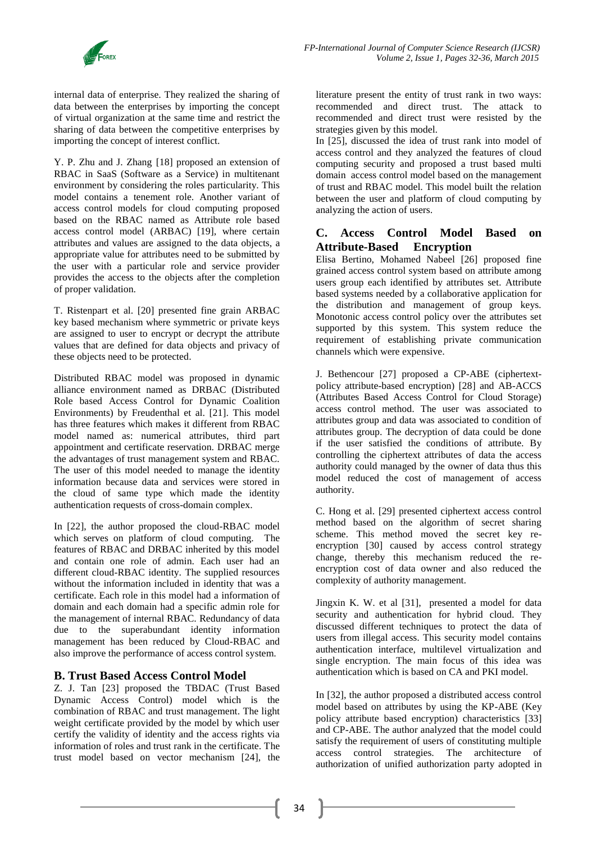internal data of enterprise. They realized the sharing of data between the enterprises by importing the concept of virtual organization at the same time and restrict the sharing of data between the competitive enterprises by importing the concept of interest conflict.

Y. P. Zhu and J. Zhang [18] proposed an extension of RBAC in SaaS (Software as a Service) in multitenant environment by considering the roles particularity. This model contains a tenement role. Another variant of access control models for cloud computing proposed based on the RBAC named as Attribute role based access control model (ARBAC) [19], where certain attributes and values are assigned to the data objects, a appropriate value for attributes need to be submitted by the user with a particular role and service provider provides the access to the objects after the completion of proper validation.

T. Ristenpart et al. [20] presented fine grain ARBAC key based mechanism where symmetric or private keys are assigned to user to encrypt or decrypt the attribute values that are defined for data objects and privacy of these objects need to be protected.

Distributed RBAC model was proposed in dynamic alliance environment named as DRBAC (Distributed Role based Access Control for Dynamic Coalition Environments) by Freudenthal et al. [21]. This model has three features which makes it different from RBAC model named as: numerical attributes, third part appointment and certificate reservation. DRBAC merge the advantages of trust management system and RBAC. The user of this model needed to manage the identity information because data and services were stored in the cloud of same type which made the identity authentication requests of cross-domain complex.

In [22], the author proposed the cloud-RBAC model which serves on platform of cloud computing. The features of RBAC and DRBAC inherited by this model and contain one role of admin. Each user had an different cloud-RBAC identity. The supplied resources without the information included in identity that was a certificate. Each role in this model had a information of domain and each domain had a specific admin role for the management of internal RBAC. Redundancy of data due to the superabundant identity information management has been reduced by Cloud-RBAC and also improve the performance of access control system.

#### **B. Trust Based Access Control Model**

Z. J. Tan [23] proposed the TBDAC (Trust Based Dynamic Access Control) model which is the combination of RBAC and trust management. The light weight certificate provided by the model by which user certify the validity of identity and the access rights via information of roles and trust rank in the certificate. The trust model based on vector mechanism [24], the

literature present the entity of trust rank in two ways: recommended and direct trust. The attack to recommended and direct trust were resisted by the strategies given by this model.

In [25], discussed the idea of trust rank into model of access control and they analyzed the features of cloud computing security and proposed a trust based multi domain access control model based on the management of trust and RBAC model. This model built the relation between the user and platform of cloud computing by analyzing the action of users.

### **C. Access Control Model Based on Attribute-Based Encryption**

Elisa Bertino, Mohamed Nabeel [26] proposed fine grained access control system based on attribute among users group each identified by attributes set. Attribute based systems needed by a collaborative application for the distribution and management of group keys. Monotonic access control policy over the attributes set supported by this system. This system reduce the requirement of establishing private communication channels which were expensive.

J. Bethencour [27] proposed a CP-ABE (ciphertextpolicy attribute-based encryption) [28] and AB-ACCS (Attributes Based Access Control for Cloud Storage) access control method. The user was associated to attributes group and data was associated to condition of attributes group. The decryption of data could be done if the user satisfied the conditions of attribute. By controlling the ciphertext attributes of data the access authority could managed by the owner of data thus this model reduced the cost of management of access authority.

C. Hong et al. [29] presented ciphertext access control method based on the algorithm of secret sharing scheme. This method moved the secret key reencryption [30] caused by access control strategy change, thereby this mechanism reduced the reencryption cost of data owner and also reduced the complexity of authority management.

Jingxin K. W. et al [31], presented a model for data security and authentication for hybrid cloud. They discussed different techniques to protect the data of users from illegal access. This security model contains authentication interface, multilevel virtualization and single encryption. The main focus of this idea was authentication which is based on CA and PKI model.

In [32], the author proposed a distributed access control model based on attributes by using the KP-ABE (Key policy attribute based encryption) characteristics [33] and CP-ABE. The author analyzed that the model could satisfy the requirement of users of constituting multiple access control strategies. The architecture of authorization of unified authorization party adopted in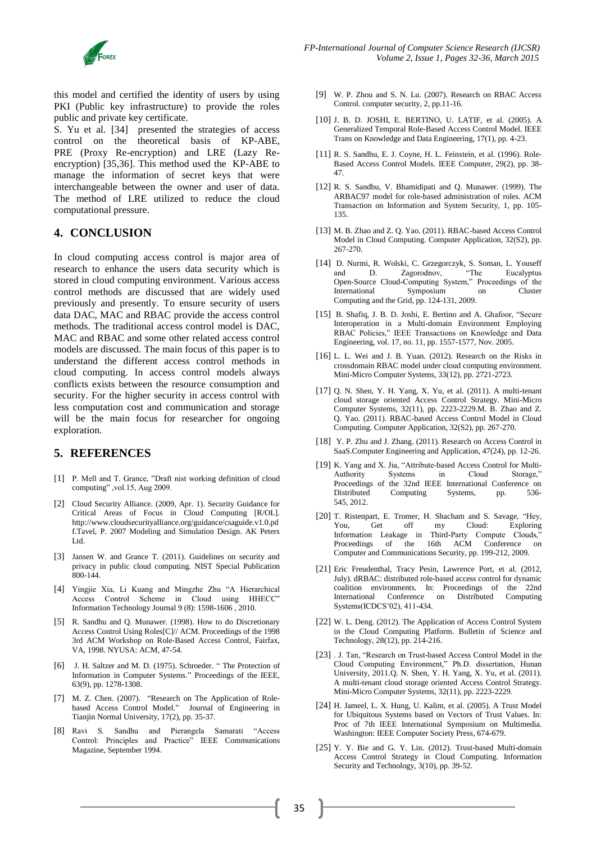

this model and certified the identity of users by using PKI (Public key infrastructure) to provide the roles public and private key certificate.

S. Yu et al. [34] presented the strategies of access control on the theoretical basis of KP-ABE, PRE (Proxy Re-encryption) and LRE (Lazy Reencryption) [35,36]. This method used the KP-ABE to manage the information of secret keys that were interchangeable between the owner and user of data. The method of LRE utilized to reduce the cloud computational pressure.

#### **4. CONCLUSION**

In cloud computing access control is major area of research to enhance the users data security which is stored in cloud computing environment. Various access control methods are discussed that are widely used previously and presently. To ensure security of users data DAC, MAC and RBAC provide the access control methods. The traditional access control model is DAC, MAC and RBAC and some other related access control models are discussed. The main focus of this paper is to understand the different access control methods in cloud computing. In access control models always conflicts exists between the resource consumption and security. For the higher security in access control with less computation cost and communication and storage will be the main focus for researcher for ongoing exploration.

### **5. REFERENCES**

- [1] P. Mell and T. Grance, "Draft nist working definition of cloud computing" ,vol.15, Aug 2009.
- [2] Cloud Security Alliance. (2009, Apr. 1). Security Guidance for Critical Areas of Focus in Cloud Computing [R/OL]. http://www.cloudsecurityalliance.org/guidance/csaguide.v1.0.pd f.Tavel, P. 2007 Modeling and Simulation Design. AK Peters Ltd.
- [3] Jansen W. and Grance T. (2011). Guidelines on security and privacy in public cloud computing. NIST Special Publication 800-144.
- [4] Yingjie Xia, Li Kuang and Mingzhe Zhu "A Hierarchical Access Control Scheme in Cloud using HHECC" Information Technology Journal 9 (8): 1598-1606 , 2010.
- [5] R. Sandhu and Q. Munawer. (1998). How to do Discretionary Access Control Using Roles[C]// ACM. Proceedings of the 1998 3rd ACM Workshop on Role-Based Access Control, Fairfax, VA, 1998. NYUSA: ACM, 47-54.
- [6] J. H. Saltzer and M. D. (1975). Schroeder. " The Protection of Information in Computer Systems." Proceedings of the IEEE, 63(9), pp. 1278-1308.
- [7] M. Z. Chen. (2007). "Research on The Application of Rolebased Access Control Model." Journal of Engineering in Tianjin Normal University, 17(2), pp. 35-37.
- [8] Ravi S. Sandhu and Pierangela Samarati "Access Control: Principles and Practice" IEEE Communications Magazine, September 1994.
- [9] W. P. Zhou and S. N. Lu. (2007). Research on RBAC Access Control. computer security, 2, pp.11-16.
- [10] J. B. D. JOSHI, E. BERTINO, U. LATIF, et al. (2005). A Generalized Temporal Role-Based Access Control Model. IEEE Trans on Knowledge and Data Engineering, 17(1), pp. 4-23.
- [11] R. S. Sandhu, E. J. Coyne, H. L. Feinstein, et al. (1996). Role-Based Access Control Models. IEEE Computer, 29(2), pp. 38- 47.
- [12] R. S. Sandhu, V. Bhamidipati and Q. Munawer. (1999). The ARBAC97 model for role-based administration of roles. ACM Transaction on Information and System Security, 1, pp. 105- 135.
- [13] M. B. Zhao and Z. Q. Yao. (2011). RBAC-based Access Control Model in Cloud Computing. Computer Application, 32(S2), pp. 267-270.
- [14] D. Nurmi, R. Wolski, C. Grzegorczyk, S. Soman, L. Youseff and D. Zagorodnov, "The Eucalyptus Open-Source Cloud-Computing System," Proceedings of the International Symposium on Cluster Computing and the Grid, pp. 124-131, 2009.
- [15] B. Shafiq, J. B. D. Joshi, E. Bertino and A. Ghafoor, "Secure Interoperation in a Multi-domain Environment Employing RBAC Policies," IEEE Transactions on Knowledge and Data Engineering, vol. 17, no. 11, pp. 1557-1577, Nov. 2005.
- [16] L. L. Wei and J. B. Yuan. (2012). Research on the Risks in crossdomain RBAC model under cloud computing environment. Mini-Micro Computer Systems, 33(12), pp. 2721-2723.
- [17] Q. N. Shen, Y. H. Yang, X. Yu, et al. (2011). A multi-tenant cloud storage oriented Access Control Strategy. Mini-Micro Computer Systems, 32(11), pp. 2223-2229.M. B. Zhao and Z. Q. Yao. (2011). RBAC-based Access Control Model in Cloud Computing. Computer Application, 32(S2), pp. 267-270.
- [18] Y. P. Zhu and J. Zhang. (2011). Research on Access Control in SaaS.Computer Engineering and Application, 47(24), pp. 12-26.
- [19] K. Yang and X. Jia, "Attribute-based Access Control for Multi-Authority Systems in Cloud Storage," Proceedings of the 32nd IEEE International Conference on Distributed Computing Systems, pp. 536- 545, 2012.
- [20] T. Ristenpart, E. Tromer, H. Shacham and S. Savage, "Hey, You, Get off my Cloud: Exploring Information Leakage in Third-Party Compute Clouds, Proceedings of the 16th ACM Conference on Computer and Communications Security, pp. 199-212, 2009.
- [21] Eric Freudenthal, Tracy Pesin, Lawrence Port, et al. (2012, July). dRBAC: distributed role-based access control for dynamic coalition environments. In: Proceedings of the 22nd International Conference on Distributed Computing Systems(ICDCS'02), 411-434.
- [22] W. L. Deng. (2012). The Application of Access Control System in the Cloud Computing Platform. Bulletin of Science and Technology, 28(12), pp. 214-216.
- [23] . J. Tan, "Research on Trust-based Access Control Model in the Cloud Computing Environment," Ph.D. dissertation, Hunan University, 2011.Q. N. Shen, Y. H. Yang, X. Yu, et al. (2011). A multi-tenant cloud storage oriented Access Control Strategy. Mini-Micro Computer Systems, 32(11), pp. 2223-2229.
- [24] H. Jameel, L. X. Hung, U. Kalim, et al. (2005). A Trust Model for Ubiquitous Systems based on Vectors of Trust Values. In: Proc of 7th IEEE International Symposium on Multimedia. Washington: IEEE Computer Society Press, 674-679.
- [25] Y. Y. Bie and G. Y. Lin. (2012). Trust-based Multi-domain Access Control Strategy in Cloud Computing. Information Security and Technology, 3(10), pp. 39-52.